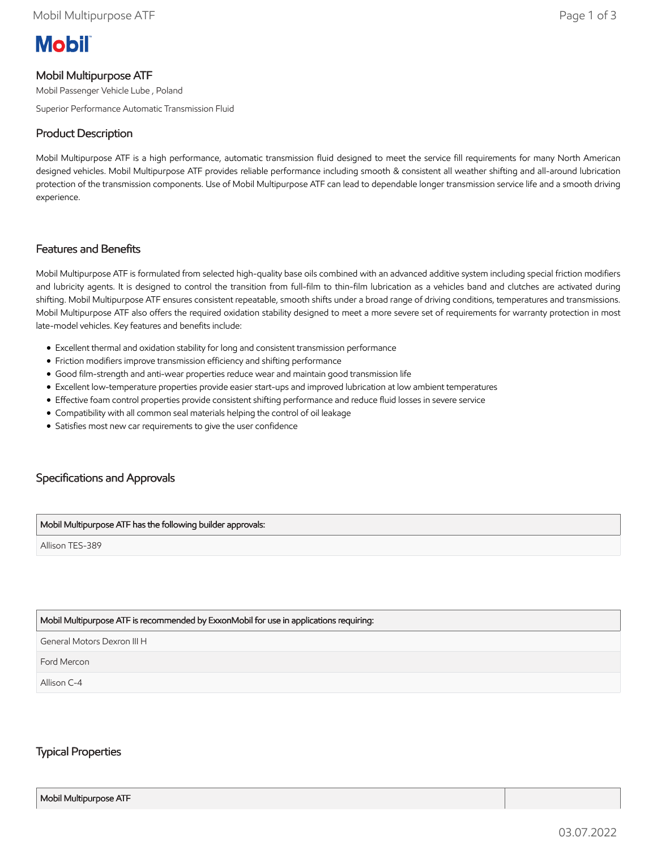# **Mobil**

## Mobil Multipurpose ATF

Mobil Passenger Vehicle Lube , Poland

Superior Performance Automatic Transmission Fluid

## Product Description

Mobil Multipurpose ATF is a high performance, automatic transmission fluid designed to meet the service fill requirements for many North American designed vehicles. Mobil Multipurpose ATF provides reliable performance including smooth & consistent all weather shifting and all-around lubrication protection of the transmission components. Use of Mobil Multipurpose ATF can lead to dependable longer transmission service life and a smooth driving experience.

#### Features and Benefits

Mobil Multipurpose ATF is formulated from selected high-quality base oils combined with an advanced additive system including special friction modifiers and lubricity agents. It is designed to control the transition from full-film to thin-film lubrication as a vehicles band and clutches are activated during shifting. Mobil Multipurpose ATF ensures consistent repeatable, smooth shifts under a broad range of driving conditions, temperatures and transmissions. Mobil Multipurpose ATF also offers the required oxidation stability designed to meet a more severe set of requirements for warranty protection in most late-model vehicles. Key features and benefits include:

- Excellent thermal and oxidation stability for long and consistent transmission performance
- Friction modifiers improve transmission efficiency and shifting performance
- Good film-strength and anti-wear properties reduce wear and maintain good transmission life
- Excellent low-temperature properties provide easier start-ups and improved lubrication at low ambient temperatures
- Effective foam control properties provide consistent shifting performance and reduce fluid losses in severe service
- Compatibility with all common seal materials helping the control of oil leakage
- Satisfies most new car requirements to give the user confidence

# Specifications and Approvals

#### Mobil Multipurpose ATF has the following builder approvals:

Allison TES-389

#### Mobil Multipurpose ATF is recommended by ExxonMobil for use in applications requiring:

General Motors Dexron III H

Ford Mercon

Allison C-4

### Typical Properties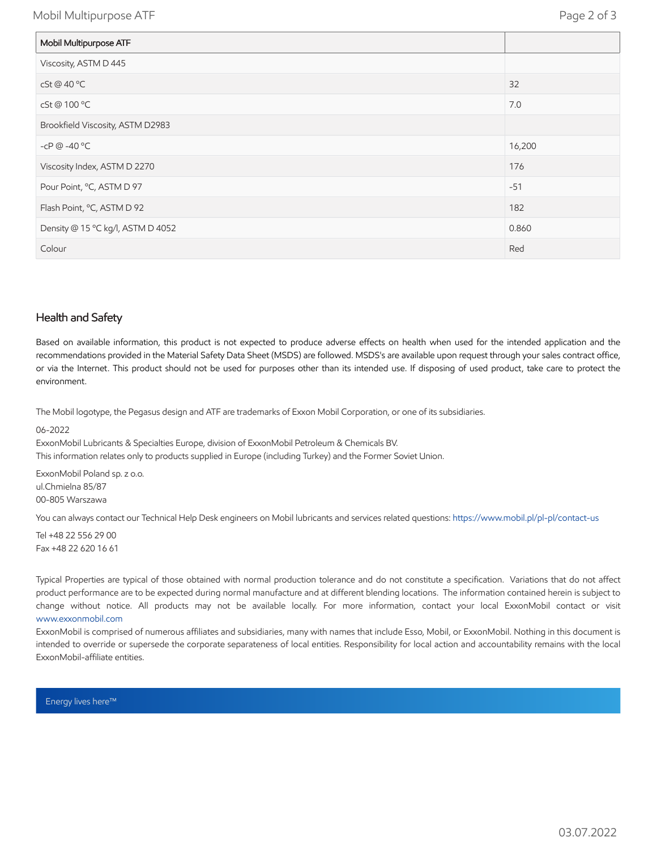Mobil Multipurpose ATF Page 2 of 3

| Mobil Multipurpose ATF            |        |
|-----------------------------------|--------|
| Viscosity, ASTM D 445             |        |
| cSt @ 40 °C                       | 32     |
| cSt@100 °C                        | 7.0    |
| Brookfield Viscosity, ASTM D2983  |        |
| -cP $@ -40 °C$                    | 16,200 |
| Viscosity Index, ASTM D 2270      | 176    |
| Pour Point, °C, ASTM D 97         | $-51$  |
| Flash Point, °C, ASTM D 92        | 182    |
| Density @ 15 °C kg/l, ASTM D 4052 | 0.860  |
| Colour                            | Red    |

#### Health and Safety

Based on available information, this product is not expected to produce adverse effects on health when used for the intended application and the recommendations provided in the Material Safety Data Sheet (MSDS) are followed. MSDS's are available upon request through your sales contract office, or via the Internet. This product should not be used for purposes other than its intended use. If disposing of used product, take care to protect the environment.

The Mobil logotype, the Pegasus design and ATF are trademarks of Exxon Mobil Corporation, or one of its subsidiaries.

06-2022

ExxonMobil Lubricants & Specialties Europe, division of ExxonMobil Petroleum & Chemicals BV. This information relates only to products supplied in Europe (including Turkey) and the Former Soviet Union.

ExxonMobil Poland sp. z o.o. ul.Chmielna 85/87 00-805 Warszawa

You can always contact our Technical Help Desk engineers on Mobil lubricants and services related questions:<https://www.mobil.pl/pl-pl/contact-us>

Tel +48 22 556 29 00 Fax +48 22 620 16 61

Typical Properties are typical of those obtained with normal production tolerance and do not constitute a specification. Variations that do not affect product performance are to be expected during normal manufacture and at different blending locations. The information contained herein is subject to change without notice. All products may not be available locally. For more information, contact your local ExxonMobil contact or visit [www.exxonmobil.com](http://www.exxonmobil.com/)

ExxonMobil is comprised of numerous affiliates and subsidiaries, many with names that include Esso, Mobil, or ExxonMobil. Nothing in this document is intended to override or supersede the corporate separateness of local entities. Responsibility for local action and accountability remains with the local ExxonMobil-affiliate entities.

Energy lives here™